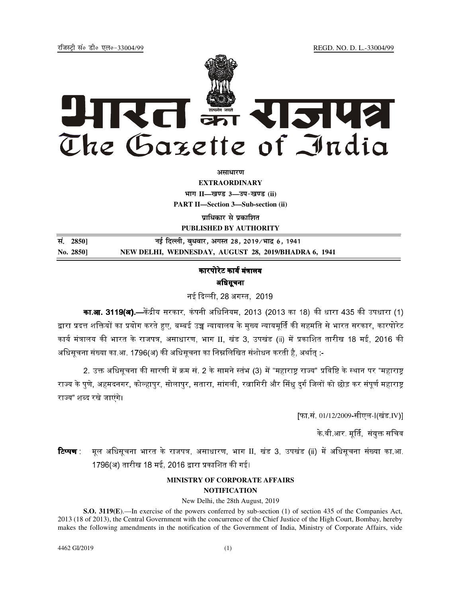jftLVªh laö Mhö ,yö&33004@99 REGD. NO. D. L.-33004/99



*<u>aurentur</u>* 

**EXTRAORDINARY Hkkx II—[k.M 3—mi&[k.M (ii) PART II—Section 3—Sub-section (ii)** 

**प्राधिकार से प्रकाशित PUBLISHED BY AUTHORITY**

<u>Randal Bilder (2850)</u> with the set of the set of the set of the set of the set of the set of the set of the set o **No. 2850] NEW DELHI, WEDNESDAY, AUGUST 28, 2019/BHADRA 6, 1941**

# कारपोरेट कार्य मंत्रालय अधिसूचना

नई दिल्ली. 28 अगस्त. 2019 .

**का.आ. 3119(अ).—**केंद्रीय सरकार, कंपनी अधिनियम, 2013 (2013 का 18) की धारा 435 की उपधारा (1) द्वारा प्रदत्त शक्तियों का प्रयोग करते हुए. बम्बई उच्च न्यायालय के मख्य न्यायमर्ति की सहमति से भारत सरकार. कारपोरेट कार्य मंत्रालय की भारत के राजपत्र, असाधारण, भाग II, खंड 3, उपखंड (ii) में प्रकाशित तारीख 18 मई, 2016 की अधिसूचना संख्या का आ. 1796(अ) की अधिसूचना का निम्नलिखित संशोधन करती है, अर्थात् :-

2. उक्त अधिसचना की सारणी में क्रम सं. 2 के सामने स्तंभ (3) में "महाराष्ट्र राज्य" प्रविष्टि के स्थान पर "महाराष्ट राज्य के पणे. अहमदनगर, कोल्हापर, सोलापर, सतारा, सांगली, रत्नागिरी और सिंध दर्ग जिलों को छोड़ कर संपर्ण महाराष्ट राज्य" शब्द रखे जाएंगे।

[फा.सं. 01/12/2009-सीएल-I(खंड.IV)]

के वी आर. मर्ति, संयक्त सचिव

**टिप्पण** मूल अधिसूचना भारत के राजपत्र, असाधारण, भाग II, खंड 3, उपखंड (ii) में अधिसूचना संख्या का.आ. 1796(अ) तारीख 18 मई, 2016 द्वारा प्रकाशित की गई।

# **MINISTRY OF CORPORATE AFFAIRS**

# **NOTIFICATION**

New Delhi, the 28th August, 2019

**S.O. 3119(E**).—In exercise of the powers conferred by sub-section (1) of section 435 of the Companies Act, 2013 (18 of 2013), the Central Government with the concurrence of the Chief Justice of the High Court, Bombay, hereby makes the following amendments in the notification of the Government of India, Ministry of Corporate Affairs, vide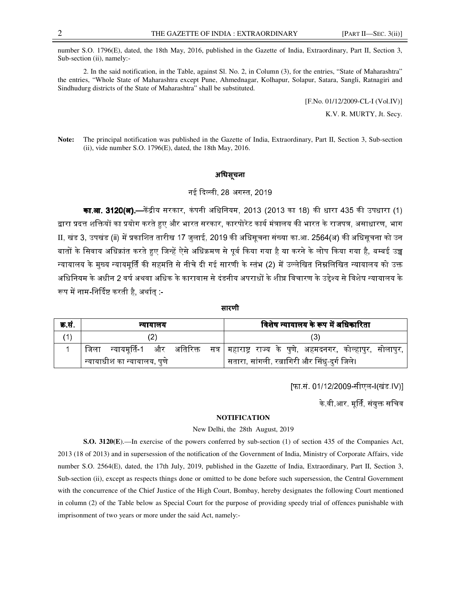number S.O. 1796(E), dated, the 18th May, 2016, published in the Gazette of India, Extraordinary, Part II, Section 3, Sub-section (ii), namely:-

2. In the said notification, in the Table, against Sl. No. 2, in Column (3), for the entries, "State of Maharashtra" the entries, "Whole State of Maharashtra except Pune, Ahmednagar, Kolhapur, Solapur, Satara, Sangli, Ratnagiri and Sindhudurg districts of the State of Maharashtra" shall be substituted.

> [F.No. 01/12/2009-CL-I (Vol.IV)] K.V. R. MURTY, Jt. Secy.

**Note:** The principal notification was published in the Gazette of India, Extraordinary, Part II, Section 3, Sub-section (ii), vide number S.O. 1796(E), dated, the 18th May, 2016.

### अधिसूचना

## नई दिल्ली, 28 अगस्त, 2019

**का.आ. 3120(अ).—**केंद्रीय सरकार, कंपनी अधिनियम, 2013 (2013 का 18) की धारा 435 की उपधारा (1) द्वारा प्रदत्त शक्तियों का प्रयोग करते हुए और भारत सरकार, कारपोरेट कार्य मंत्रालय की भारत के राजपत्र, असाधारण, भाग II, खंड 3, उपखंड (ii) में प्रकाशित तारीख 17 जुलाई, 2019 की अधिसूचना संख्या का.आ. 2564(अ) की अधिसूचना को उन बातों के सिवाय अधिक्रांत करते हुए जिन्हें ऐसे अधिक्रमण से पर्व किया गया है या करने के लोप किया गया है. बम्बई उच न्यायालय के मुख्य न्यायमूर्ति की सहमति से नीचे दी गई सारणी के स्तंभ (2) में उल्लेखित निम्नलिखित न्यायालय को उक्त अधिनियम के अधीन 2 वर्ष अथवा अधिक के कारावास से दंडनीय अपराधों के शीघ्र विचारण के उद्देश्य से विशेष न्यायालय के रूप में नाम-निर्दिष्ट करती है, अर्थातु :-

सारणी

| क्र.स. | न्यायालय                                 | विशेष न्यायालय के रूप में अधिकारिता                                                     |
|--------|------------------------------------------|-----------------------------------------------------------------------------------------|
|        |                                          |                                                                                         |
|        | ाजला                                     | न्यायमूर्ति-1 और अतिरिक्त सत्र│महाराष्ट्र राज्य के पुणे, अहमदनगर, कोल्हापुर, सोलापुर, ' |
|        | <sub>।</sub> न्यायाधीश का न्यायालय, पुणे | सतारा, सांगली, रत्नागिरी और सिंधु-दुर्ग जिले।                                           |

[फा.सं. 01/12/2009-सीएल-I(खंड.IV)]

के वी आर. मूर्ति, संयुक्त सचिव

#### **NOTIFICATION**

#### New Delhi, the 28th August, 2019

**S.O. 3120(E**).—In exercise of the powers conferred by sub-section (1) of section 435 of the Companies Act, 2013 (18 of 2013) and in supersession of the notification of the Government of India, Ministry of Corporate Affairs, vide number S.O. 2564(E), dated, the 17th July, 2019, published in the Gazette of India, Extraordinary, Part II, Section 3, Sub-section (ii), except as respects things done or omitted to be done before such supersession, the Central Government with the concurrence of the Chief Justice of the High Court, Bombay, hereby designates the following Court mentioned in column (2) of the Table below as Special Court for the purpose of providing speedy trial of offences punishable with imprisonment of two years or more under the said Act, namely:-